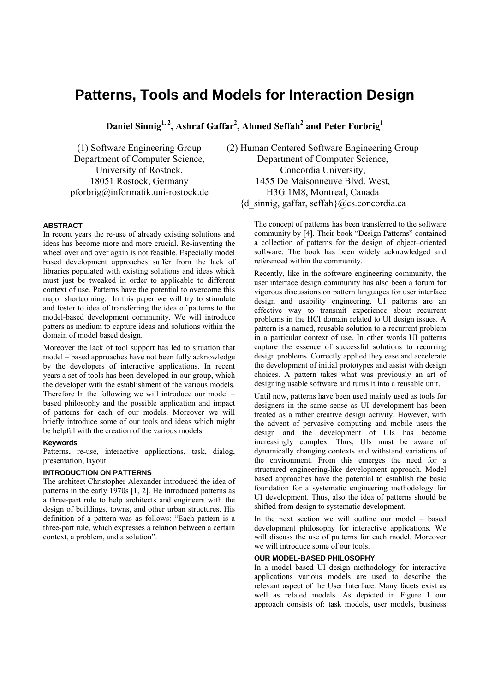# **Patterns, Tools and Models for Interaction Design**

**Daniel Sinnig1, 2, Ashraf Gaffar2 , Ahmed Seffah2 and Peter Forbrig<sup>1</sup>**

(1) Software Engineering Group Department of Computer Science, University of Rostock, 18051 Rostock, Germany pforbrig@informatik.uni-rostock.de (2) Human Centered Software Engineering Group Department of Computer Science, Concordia University, 1455 De Maisonneuve Blvd. West, H3G 1M8, Montreal, Canada  ${d$  sinnig, gaffar, seffah $\{Q\}$ cs.concordia.ca

#### **ABSTRACT**

In recent years the re-use of already existing solutions and ideas has become more and more crucial. Re-inventing the wheel over and over again is not feasible. Especially model based development approaches suffer from the lack of libraries populated with existing solutions and ideas which must just be tweaked in order to applicable to different context of use. Patterns have the potential to overcome this major shortcoming. In this paper we will try to stimulate and foster to idea of transferring the idea of patterns to the model-based development community. We will introduce patters as medium to capture ideas and solutions within the domain of model based design.

Moreover the lack of tool support has led to situation that model – based approaches have not been fully acknowledge by the developers of interactive applications. In recent years a set of tools has been developed in our group, which the developer with the establishment of the various models. Therefore In the following we will introduce our model – based philosophy and the possible application and impact of patterns for each of our models. Moreover we will briefly introduce some of our tools and ideas which might be helpful with the creation of the various models.

#### **Keywords**

Patterns, re-use, interactive applications, task, dialog, presentation, layout

## **INTRODUCTION ON PATTERNS**

The architect Christopher Alexander introduced the idea of patterns in the early 1970s [1, 2]. He introduced patterns as a three-part rule to help architects and engineers with the design of buildings, towns, and other urban structures. His definition of a pattern was as follows: "Each pattern is a three-part rule, which expresses a relation between a certain context, a problem, and a solution".

The concept of patterns has been transferred to the software community by [4]. Their book "Design Patterns" contained a collection of patterns for the design of object–oriented software. The book has been widely acknowledged and referenced within the community.

Recently, like in the software engineering community, the user interface design community has also been a forum for vigorous discussions on pattern languages for user interface design and usability engineering. UI patterns are an effective way to transmit experience about recurrent problems in the HCI domain related to UI design issues. A pattern is a named, reusable solution to a recurrent problem in a particular context of use. In other words UI patterns capture the essence of successful solutions to recurring design problems. Correctly applied they ease and accelerate the development of initial prototypes and assist with design choices. A pattern takes what was previously an art of designing usable software and turns it into a reusable unit.

Until now, patterns have been used mainly used as tools for designers in the same sense as UI development has been treated as a rather creative design activity. However, with the advent of pervasive computing and mobile users the design and the development of UIs has become increasingly complex. Thus, UIs must be aware of dynamically changing contexts and withstand variations of the environment. From this emerges the need for a structured engineering-like development approach. Model based approaches have the potential to establish the basic foundation for a systematic engineering methodology for UI development. Thus, also the idea of patterns should be shifted from design to systematic development.

In the next section we will outline our model – based development philosophy for interactive applications. We will discuss the use of patterns for each model. Moreover we will introduce some of our tools.

## **OUR MODEL-BASED PHILOSOPHY**

In a model based UI design methodology for interactive applications various models are used to describe the relevant aspect of the User Interface. Many facets exist as well as related models. As depicted in Figure 1 our approach consists of: task models, user models, business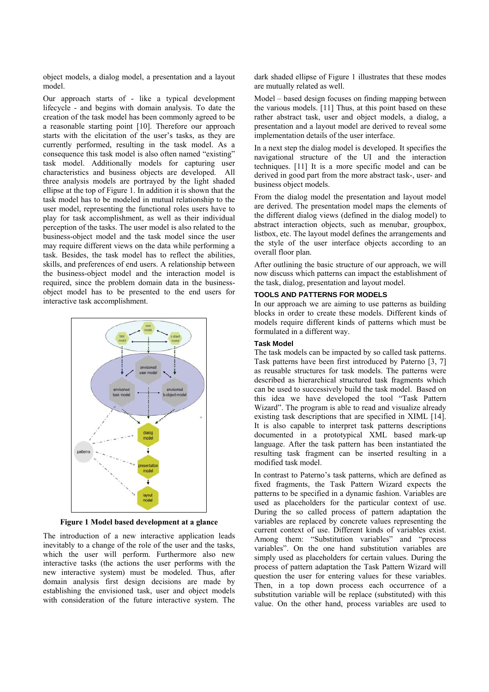object models, a dialog model, a presentation and a layout model.

Our approach starts of - like a typical development lifecycle - and begins with domain analysis. To date the creation of the task model has been commonly agreed to be a reasonable starting point [10]. Therefore our approach starts with the elicitation of the user's tasks, as they are currently performed, resulting in the task model. As a consequence this task model is also often named "existing" task model. Additionally models for capturing user characteristics and business objects are developed. All three analysis models are portrayed by the light shaded ellipse at the top of Figure 1. In addition it is shown that the task model has to be modeled in mutual relationship to the user model, representing the functional roles users have to play for task accomplishment, as well as their individual perception of the tasks. The user model is also related to the business-object model and the task model since the user may require different views on the data while performing a task. Besides, the task model has to reflect the abilities, skills, and preferences of end users. A relationship between the business-object model and the interaction model is required, since the problem domain data in the businessobject model has to be presented to the end users for interactive task accomplishment.



**Figure 1 Model based development at a glance** 

The introduction of a new interactive application leads inevitably to a change of the role of the user and the tasks, which the user will perform. Furthermore also new interactive tasks (the actions the user performs with the new interactive system) must be modeled. Thus, after domain analysis first design decisions are made by establishing the envisioned task, user and object models with consideration of the future interactive system. The dark shaded ellipse of Figure 1 illustrates that these modes are mutually related as well.

Model – based design focuses on finding mapping between the various models. [11] Thus, at this point based on these rather abstract task, user and object models, a dialog, a presentation and a layout model are derived to reveal some implementation details of the user interface.

In a next step the dialog model is developed. It specifies the navigational structure of the UI and the interaction techniques. [11] It is a more specific model and can be derived in good part from the more abstract task-, user- and business object models.

From the dialog model the presentation and layout model are derived. The presentation model maps the elements of the different dialog views (defined in the dialog model) to abstract interaction objects, such as menubar, groupbox, listbox, etc. The layout model defines the arrangements and the style of the user interface objects according to an overall floor plan.

After outlining the basic structure of our approach, we will now discuss which patterns can impact the establishment of the task, dialog, presentation and layout model.

### **TOOLS AND PATTERNS FOR MODELS**

In our approach we are aiming to use patterns as building blocks in order to create these models. Different kinds of models require different kinds of patterns which must be formulated in a different way.

#### **Task Model**

The task models can be impacted by so called task patterns. Task patterns have been first introduced by Paterno [3, 7] as reusable structures for task models. The patterns were described as hierarchical structured task fragments which can be used to successively build the task model. Based on this idea we have developed the tool "Task Pattern Wizard". The program is able to read and visualize already existing task descriptions that are specified in XIML [14]. It is also capable to interpret task patterns descriptions documented in a prototypical XML based mark-up language. After the task pattern has been instantiated the resulting task fragment can be inserted resulting in a modified task model.

In contrast to Paterno's task patterns, which are defined as fixed fragments, the Task Pattern Wizard expects the patterns to be specified in a dynamic fashion. Variables are used as placeholders for the particular context of use. During the so called process of pattern adaptation the variables are replaced by concrete values representing the current context of use. Different kinds of variables exist. Among them: "Substitution variables" and "process variables". On the one hand substitution variables are simply used as placeholders for certain values. During the process of pattern adaptation the Task Pattern Wizard will question the user for entering values for these variables. Then, in a top down process each occurrence of a substitution variable will be replace (substituted) with this value. On the other hand, process variables are used to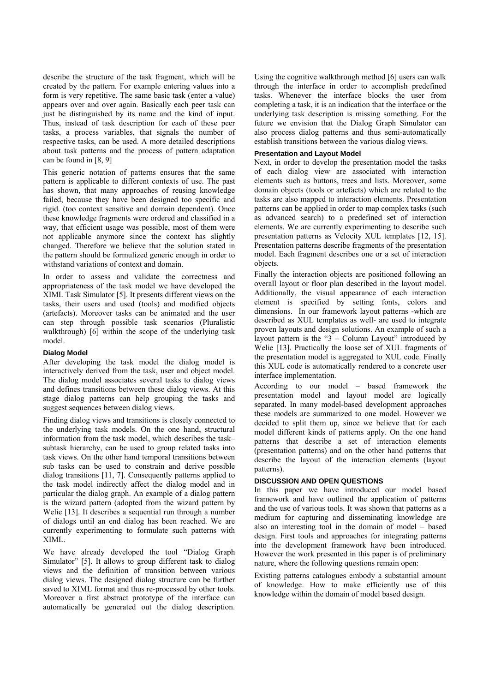describe the structure of the task fragment, which will be created by the pattern. For example entering values into a form is very repetitive. The same basic task (enter a value) appears over and over again. Basically each peer task can just be distinguished by its name and the kind of input. Thus, instead of task description for each of these peer tasks, a process variables, that signals the number of respective tasks, can be used. A more detailed descriptions about task patterns and the process of pattern adaptation can be found in [8, 9]

This generic notation of patterns ensures that the same pattern is applicable to different contexts of use. The past has shown, that many approaches of reusing knowledge failed, because they have been designed too specific and rigid. (too context sensitive and domain dependent). Once these knowledge fragments were ordered and classified in a way, that efficient usage was possible, most of them were not applicable anymore since the context has slightly changed. Therefore we believe that the solution stated in the pattern should be formulized generic enough in order to withstand variations of context and domain.

In order to assess and validate the correctness and appropriateness of the task model we have developed the XIML Task Simulator [5]. It presents different views on the tasks, their users and used (tools) and modified objects (artefacts). Moreover tasks can be animated and the user can step through possible task scenarios (Pluralistic walkthrough) [6] within the scope of the underlying task model.

#### **Dialog Model**

After developing the task model the dialog model is interactively derived from the task, user and object model. The dialog model associates several tasks to dialog views and defines transitions between these dialog views. At this stage dialog patterns can help grouping the tasks and suggest sequences between dialog views.

Finding dialog views and transitions is closely connected to the underlying task models. On the one hand, structural information from the task model, which describes the task– subtask hierarchy, can be used to group related tasks into task views. On the other hand temporal transitions between sub tasks can be used to constrain and derive possible dialog transitions [11, 7]. Consequently patterns applied to the task model indirectly affect the dialog model and in particular the dialog graph. An example of a dialog pattern is the wizard pattern (adopted from the wizard pattern by Welie [13]. It describes a sequential run through a number of dialogs until an end dialog has been reached. We are currently experimenting to formulate such patterns with XIML.

We have already developed the tool "Dialog Graph Simulator" [5]. It allows to group different task to dialog views and the definition of transition between various dialog views. The designed dialog structure can be further saved to XIML format and thus re-processed by other tools. Moreover a first abstract prototype of the interface can automatically be generated out the dialog description. Using the cognitive walkthrough method [6] users can walk through the interface in order to accomplish predefined tasks. Whenever the interface blocks the user from completing a task, it is an indication that the interface or the underlying task description is missing something. For the future we envision that the Dialog Graph Simulator can also process dialog patterns and thus semi-automatically establish transitions between the various dialog views.

#### **Presentation and Layout Model**

Next, in order to develop the presentation model the tasks of each dialog view are associated with interaction elements such as buttons, trees and lists. Moreover, some domain objects (tools or artefacts) which are related to the tasks are also mapped to interaction elements. Presentation patterns can be applied in order to map complex tasks (such as advanced search) to a predefined set of interaction elements. We are currently experimenting to describe such presentation patterns as Velocity XUL templates [12, 15]. Presentation patterns describe fragments of the presentation model. Each fragment describes one or a set of interaction objects.

Finally the interaction objects are positioned following an overall layout or floor plan described in the layout model. Additionally, the visual appearance of each interaction element is specified by setting fonts, colors and dimensions. In our framework layout patterns -which are described as XUL templates as well- are used to integrate proven layouts and design solutions. An example of such a layout pattern is the " $3$  – Column Layout" introduced by Welie [13]. Practically the loose set of XUL fragments of the presentation model is aggregated to XUL code. Finally this XUL code is automatically rendered to a concrete user interface implementation.

According to our model – based framework the presentation model and layout model are logically separated. In many model-based development approaches these models are summarized to one model. However we decided to split them up, since we believe that for each model different kinds of patterns apply. On the one hand patterns that describe a set of interaction elements (presentation patterns) and on the other hand patterns that describe the layout of the interaction elements (layout patterns).

#### **DISCUSSION AND OPEN QUESTIONS**

In this paper we have introduced our model based framework and have outlined the application of patterns and the use of various tools. It was shown that patterns as a medium for capturing and disseminating knowledge are also an interesting tool in the domain of model – based design. First tools and approaches for integrating patterns into the development framework have been introduced. However the work presented in this paper is of preliminary nature, where the following questions remain open:

Existing patterns catalogues embody a substantial amount of knowledge. How to make efficiently use of this knowledge within the domain of model based design.